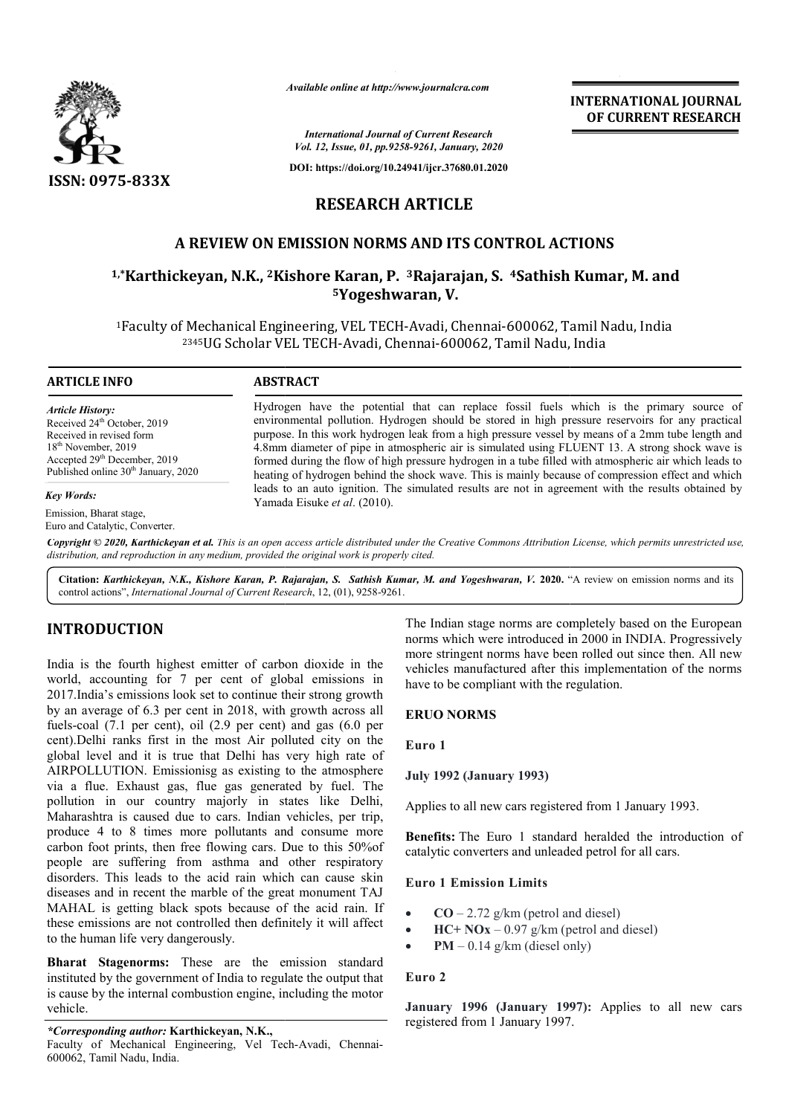

*Available online at http://www.journalcra.com*

*International Journal of Current Research Vol. 12, Issue, 01, pp.9258-9261, January, 2020*

**DOI: https://doi.org/10.24941/ijcr.37680.01.2020**

**INTERNATIONAL JOURNAL OF CURRENT RESEARCH**

# **RESEARCH ARTICLE**

# **A REVIEW ON EMISSION NORMS AND ITS CONTROL ACTIONS**

# A REVIEW ON EMISSION NORMS AND ITS CONTROL ACTIONS<br><sup>1,</sup>\*Karthickeyan, N.K., <sup>2</sup>Kishore Karan, P. <sup>3</sup>Rajarajan, S. <sup>4</sup>Sathish Kumar, M. and **5Yogeshwaran, V.**

<sup>1</sup>Faculty of Mechanical Engineering, VEL TECH-Avadi, Chennai-600062, Tamil Nadu, India 2345UG Scholar VEL TECH TECH-Avadi, Chennai-600062, Tamil Nadu, India

#### **ARTICLE INFO ABSTRACT**

*Article History:* Received 24<sup>th</sup> October, 2019 Received in revised form 18th November, 2019 Accepted 29<sup>th</sup> December, 2019 Published online 30<sup>th</sup> January, 2020

*Key Words:*

Emission, Bharat stage, Euro and Catalytic, Converter. Hydrogen have the potential that can replace fossil fuels which is the primary source of environmental pollution. Hydrogen should be stored in high pressure reservoirs for any practical Hydrogen have the potential that can replace fossil fuels which is the primary source of environmental pollution. Hydrogen should be stored in high pressure reservoirs for any practical purpose. In this work hydrogen leak 4.8mm diameter of pipe in atmospheric air is simulated using FLUENT 13. A strong shock wave is formed during the flow of high pressure hydrogen in a tube filled with atmospheric air which leads to heating of hydrogen behind the shock wave. This is mainly because of compression effect and which 4.8mm diameter of pipe in atmospheric air is simulated using FLUENT 13. A strong shock wave is formed during the flow of high pressure hydrogen in a tube filled with atmospheric air which leads to heating of hydrogen behin Yamada Eisuke *et al*. (2010).

Copyright © 2020, Karthickeyan et al. This is an open access article distributed under the Creative Commons Attribution License, which permits unrestricted use, *distribution, and reproduction in any medium, provided the original work is properly cited.*

**Citation:** *Karthickeyan, N.K., Kishore Karan, P. Rajarajan, S. Sathish Kumar, M. and Yogeshwaran, V.* **2020.** " "A review on emission norms and its control actions", *International Journal of Current Research* , 12, (01), 9258-9261.

# **INTRODUCTION**

India is the fourth highest emitter of carbon dioxide in the world, accounting for 7 per cent of global emissions in 2017.India's emissions look set to continue their strong growth by an average of 6.3 per cent in 2018, with growth across all fuels-coal (7.1 per cent), oil (2.9 per cent) and gas (6.0 per cent).Delhi ranks first in the most Air polluted city on the global level and it is true that Delhi has very high rate of AIRPOLLUTION. Emissionisg as existing to the atmosphere via a flue. Exhaust gas, flue gas generated by fuel. The pollution in our country majorly in states like Delhi, Maharashtra is caused due to cars. Indian vehicles, per trip, produce 4 to 8 times more pollutants and consume more carbon foot prints, then free flowing cars. Due to this 50%of people are suffering from asthma and other respiratory disorders. This leads to the acid rain which can cause skin diseases and in recent the marble of the great monument TAJ MAHAL is getting black spots because of the acid rain. If these emissions are not controlled then definitely it will affect to the human life very dangerously. India's emissions look set to continue their strong growth<br>average of 6.3 per cent in 2018, with growth across all<br>coal (7.1 per cent), oil (2.9 per cent) and gas (6.0 per<br>Delhi ranks first in the most Air polluted city on

**Bharat Stagenorms:** These are the emission standard instituted by the government of India to regulate the output that is cause by the internal combustion engine, including the vehicle.

*\*Corresponding author:* **Karthickeyan, N.K.,** 

Faculty of Mechanical Engineering, Vel Tech Tech-Avadi, Chennai-600062, Tamil Nadu, India.

The Indian stage norms are completely based on the European The Indian stage norms are completely based on the European norms which were introduced in 2000 in INDIA. Progressively more stringent norms have been rolled out since then. All new vehicles manufactured after this implementation of the norms have to be compliant with the regulation. stringent norms have been rolled out since then. All<br>les manufactured after this implementation of the no<br>be compliant with the regulation.<br>**D NORMS**<br>1<br>1992 (January 1993)<br>es to all new cars registered from 1 January 1993.

#### **ERUO NORMS**

**Euro 1** 

**July 1992 (January 1993)**

Applies to all new cars registered from 1 January 1993.

**Benefits:** The Euro 1 standard heralded the introduction of catalytic converters and unleaded petrol for all cars. **Henefits:** The Euro 1 standard heralded the catalytic converters and unleaded petrol for all  $\text{Euro 1 Emission Limits}$ <br>
• CO – 2.72 g/km (petrol and diesel)<br>
• HC+ NOx – 0.97 g/km (petrol and diesel)

# **Euro 1 Emission Limits**

- **CO** 2.72 g/km (petrol and diesel)
- 
- $PM 0.14$  g/km (diesel only)

#### **Euro 2**

January 1996 (January 1997): Applies to all new cars registered from 1 January 1997.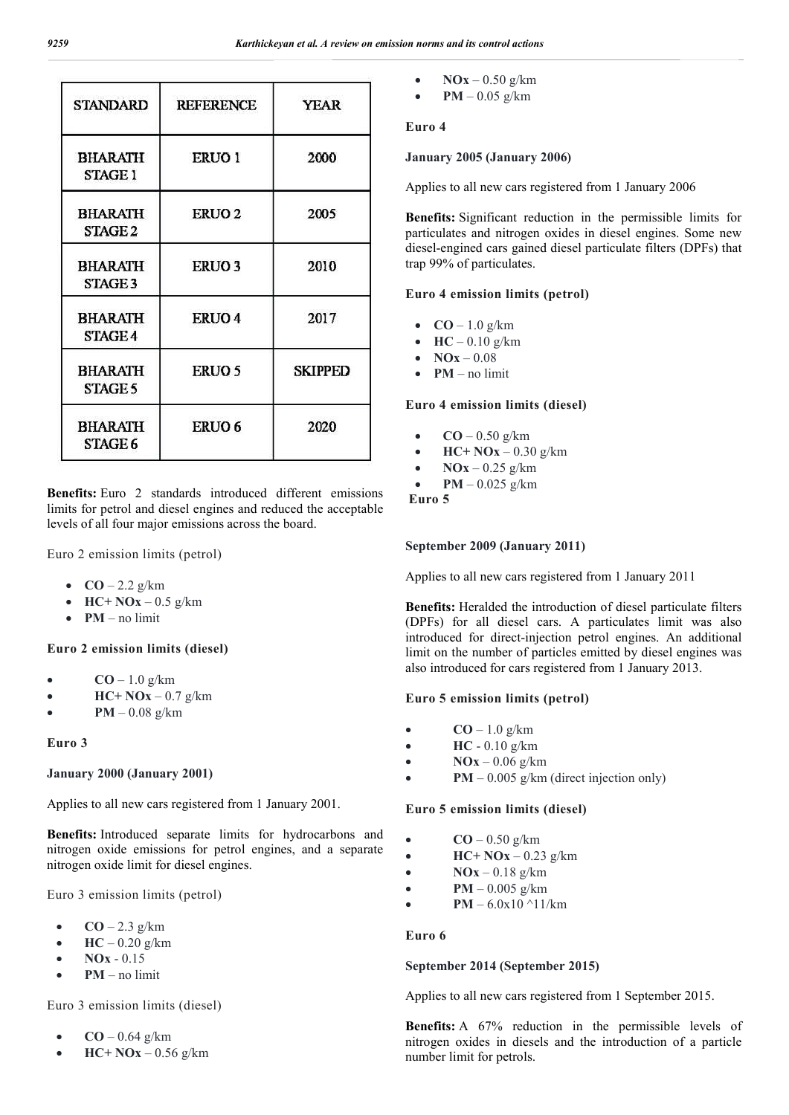| <b>STANDARD</b>                      | <b>REFERENCE</b>  | <b>YEAR</b>    |
|--------------------------------------|-------------------|----------------|
| <b>BHARATH</b><br><b>STAGE 1</b>     | ERUO 1            | 2000           |
| <b>BHARATH</b><br>STAGE <sub>2</sub> | ERUO <sub>2</sub> | 2005           |
| <b>BHARATH</b><br>STAGE 3            | ERUO <sub>3</sub> | 2010           |
| <b>BHARATH</b><br><b>STAGE 4</b>     | ERUO <sub>4</sub> | 2017           |
| <b>BHARATH</b><br><b>STAGE 5</b>     | ERUO 5            | <b>SKIPPED</b> |
| <b>BHARATH</b><br><b>STAGE 6</b>     | ERUO <sub>6</sub> | 2020           |

**Benefits:** Euro 2 standards introduced different emissions limits for petrol and diesel engines and reduced the acceptable levels of all four major emissions across the board.

Euro 2 emission limits (petrol)

- $\bullet$  **CO** 2.2 g/km
- **HC+ NOx** 0.5 g/km
- **PM** no limit

#### **Euro 2 emission limits (diesel)**

- $CO 1.0$  g/km
- **HC+ NOx** 0.7 g/km
- **PM** 0.08 g/km

#### **Euro 3**

# **January 2000 (January 2001)**

Applies to all new cars registered from 1 January 2001.

**Benefits:** Introduced separate limits for hydrocarbons and nitrogen oxide emissions for petrol engines, and a separate nitrogen oxide limit for diesel engines.

Euro 3 emission limits (petrol)

- $CO 2.3$  g/km
- $\bullet$  **HC** 0.20 g/km
- **NOx** 0.15
- **PM** no limit

Euro 3 emission limits (diesel)

- **CO** 0.64 g/km
- **HC+ NOx** 0.56 g/km
- **NOx** 0.50 g/km
- **PM** 0.05 g/km

# **Euro 4**

#### **January 2005 (January 2006)**

Applies to all new cars registered from 1 January 2006

**Benefits:** Significant reduction in the permissible limits for particulates and nitrogen oxides in diesel engines. Some new diesel-engined cars gained diesel particulate filters (DPFs) that trap 99% of particulates.

# **Euro 4 emission limits (petrol)**

- **CO** 1.0 g/km
- **HC** 0.10 g/km
- **NOx** 0.08
- **PM** no limit

# **Euro 4 emission limits (diesel)**

- **CO** 0.50 g/km
- **HC+ NOx** 0.30 g/km
- **NOx** 0.25 g/km
- **PM** 0.025 g/km

**Euro 5**

#### **September 2009 (January 2011)**

Applies to all new cars registered from 1 January 2011

**Benefits:** Heralded the introduction of diesel particulate filters (DPFs) for all diesel cars. A particulates limit was also introduced for direct-injection petrol engines. An additional limit on the number of particles emitted by diesel engines was also introduced for cars registered from 1 January 2013.

#### **Euro 5 emission limits (petrol)**

- **CO** 1.0 g/km
- **HC** 0.10 g/km
- **NOx** 0.06 g/km
- **PM** 0.005 g/km (direct injection only)

#### **Euro 5 emission limits (diesel)**

- **CO** 0.50 g/km
- **• HC+ NOx** 0.23 g/km
- **NOx** 0.18 g/km
- **PM** 0.005 g/km
- **PM** 6.0x10  $\textdegree$ 11/km

#### **Euro 6**

#### **September 2014 (September 2015)**

Applies to all new cars registered from 1 September 2015.

**Benefits:** A 67% reduction in the permissible levels of nitrogen oxides in diesels and the introduction of a particle number limit for petrols.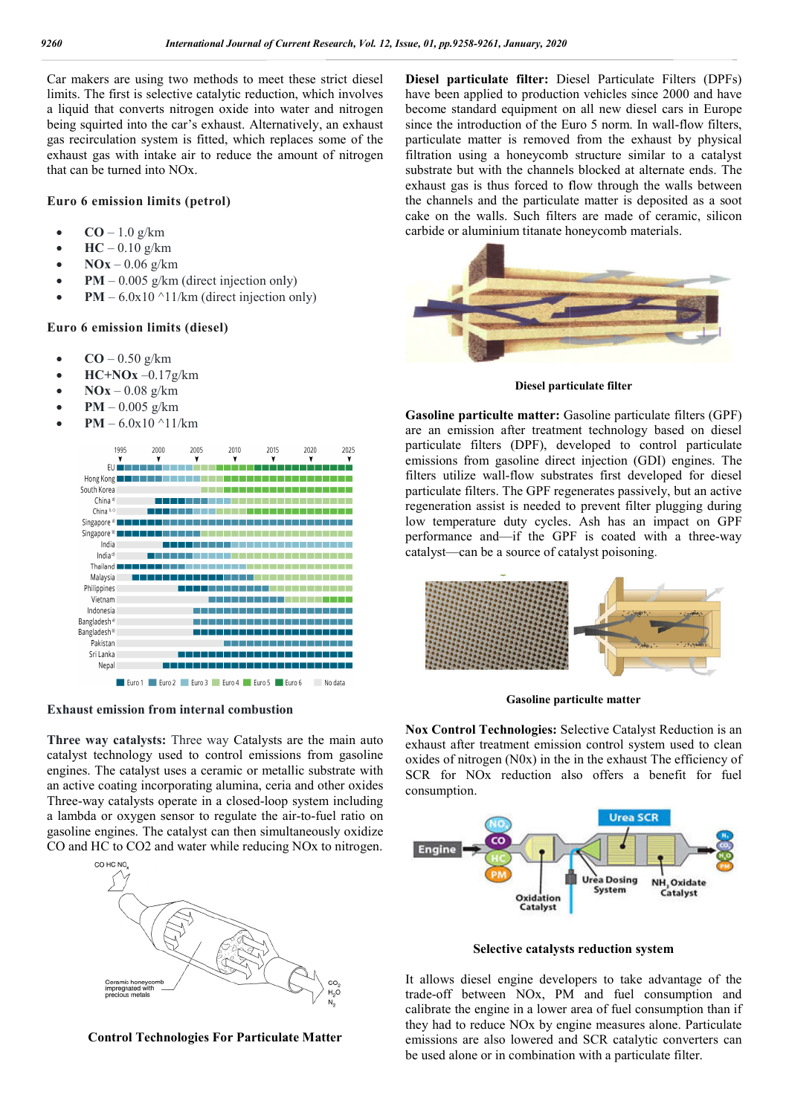Car makers are using two methods to meet these strict diesel limits. The first is selective catalytic reduction, which involves a liquid that converts nitrogen oxide into water and nitrogen being squirted into the car's exhaust. Alternatively, an exhaust gas recirculation system is fitted, which replaces some of the exhaust gas with intake air to reduce the amount of nitrogen that can be turned into NOx.

#### **Euro 6 emission limits (petrol)**

- $\bullet$  **CO** 1.0 g/km
- **HC** 0.10 g/km
- **NOx** 0.06 g/km
- **PM** 0.005 g/km (direct injection only)
- $PM 6.0x10$  ^11/km (direct injection only)

#### **Euro 6 emission limits (diesel)**

- $CO 0.50$  g/km
- **HC+NOx** –0.17g/km
- **NOx** 0.08 g/km
- **PM** 0.005 g/km
- **PM** 6.0x10 ^11/km



**Exhaust emission from internal combustion**

**Three way catalysts:** Three way Catalysts are the main auto catalyst technology used to control emissions from gasoline engines. The catalyst uses a ceramic or metallic substrate with an active coating incorporating alumina, ceria and other oxides Three-way catalysts operate in a closed-loop system including Three-way catalysts operate in a closed-loop system including<br>a lambda or oxygen sensor to regulate the air-to-fuel ratio on gasoline engines. The catalyst can then simultaneously oxidize CO and HC to CO2 and water while reducing NOx to nitrogen.



**Control Technologies For Particulate Matter**

**Diesel particulate filter:** Diesel Particulate Filters (DPFs) have been applied to production vehicles since 2000 and have become standard equipment on all new diesel cars in Europe since the introduction of the Euro 5 norm. In wall-flow filters, particulate matter is removed from the exhaust by physical filtration using a honeycomb structure similar to a catalyst substrate but with the channels blocked at alternate ends. The exhaust gas is thus forced to flow through the walls between the channels and the particulate matter is deposited as a soot cake on the walls. Such filters are made of ceramic carbide or aluminium titanate honeycomb materials. I to production vehicles since 2000 and have<br>equipment on all new diesel cars in Europe<br>tion of the Euro 5 norm. In wall-flow filters, particulate matter is removed from the exhaust by physical filtration using a honeycomb structure similar to a catalyst substrate but with the channels blocked at alternate ends. The exhaust gas is thus forced to flow thro



**Diesel particulate filter**

**Gasoline particulte matter:** Gasoline particulate filters (GPF) are an emission after treatment technology based on diesel particulate filters (DPF), developed to control particulate emissions from gasoline direct injection (GDI) engines. The filters utilize wall-flow substrates first developed for diesel particulate filters. The GPF regenerates passively, but an active regeneration assist is needed to prevent filter plugging during low temperature duty cycles. Ash has an impact on GPF performance and—if the GPF is coated with a three catalyst—can be a source of catalyst poisoning. Gasoline particulte matter: Gasoline particulate filters (GPF) are an emission after treatment technology based on diesel particulate filters (DPF), developed to control particulate emissions from gasoline direct injection



**Gasoline particulte matter particulte matter**

**Nox Control Technologies:** Selective Catalyst Reduction is an exhaust after treatment emission control system used to clean oxides of nitrogen (N0x) in the in the exhaust The efficiency of SCR for NOx reduction also offers a benefit for fuel consumption. **Introl Technologies:** Selective Catalyst Reduction is an st after treatment emission control system used to clean of nitrogen (N0x) in the in the exhaust The efficiency of for NOx reduction also offers a benefit for fuel



**Selective catalysts red reduction system**

It allows diesel engine developers to take advantage of the trade-off between NOx, PM and fuel consumption and calibrate the engine in a lower area of fuel consumption than if they had to reduce NOx by engine measures alone. Particulate emissions are also lowered and SCR catalytic converters can be used alone or in combination with a particulate filter. lows diesel engine developers to take advantage of the consumption and rate the engine in a lower area of fuel consumption than if had to reduce NOx by engine measures alone. Particulate sions are also lowered and SCR cata